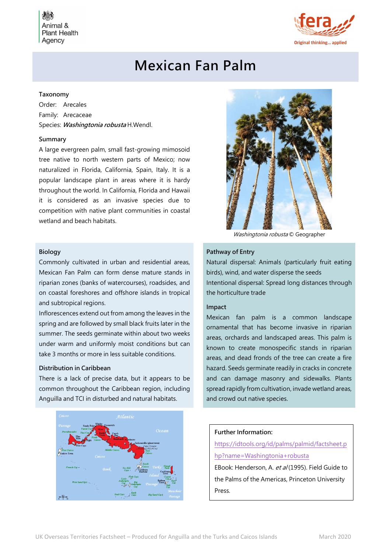**Plant Health** Agency



# Mexican Fan Palm

## Taxonomy

Order: Arecales Family: Arecaceae Species: Washingtonia robusta H.Wendl.

## Summary

A large evergreen palm, small fast-growing mimosoid tree native to north western parts of Mexico; now naturalized in Florida, California, Spain, Italy. It is a popular landscape plant in areas where it is hardy throughout the world. In California, Florida and Hawaii it is considered as an invasive species due to competition with native plant communities in coastal wetland and beach habitats.

#### Biology

Commonly cultivated in urban and residential areas, Mexican Fan Palm can form dense mature stands in riparian zones (banks of watercourses), roadsides, and on coastal foreshores and offshore islands in tropical and subtropical regions.

Inflorescences extend out from among the leaves in the spring and are followed by small black fruits later in the summer. The seeds germinate within about two weeks under warm and uniformly moist conditions but can take 3 months or more in less suitable conditions.

## Distribution in Caribbean

There is a lack of precise data, but it appears to be common throughout the Caribbean region, including Anguilla and TCI in disturbed and natural habitats.





Washingtonia robusta © Geographer

## Pathway of Entry

Natural dispersal: Animals (particularly fruit eating birds), wind, and water disperse the seeds Intentional dispersal: Spread long distances through the horticulture trade

#### Impact

Mexican fan palm is a common landscape ornamental that has become invasive in riparian areas, orchards and landscaped areas. This palm is known to create monospecific stands in riparian areas, and dead fronds of the tree can create a fire hazard. Seeds germinate readily in cracks in concrete and can damage masonry and sidewalks. Plants spread rapidly from cultivation, invade wetland areas, and crowd out native species.

## Further Information:

https://idtools.org/id/palms/palmid/factsheet.p hp?name=Washingtonia+robusta EBook: Henderson, A. et al (1995). Field Guide to the Palms of the Americas, Princeton University Press.